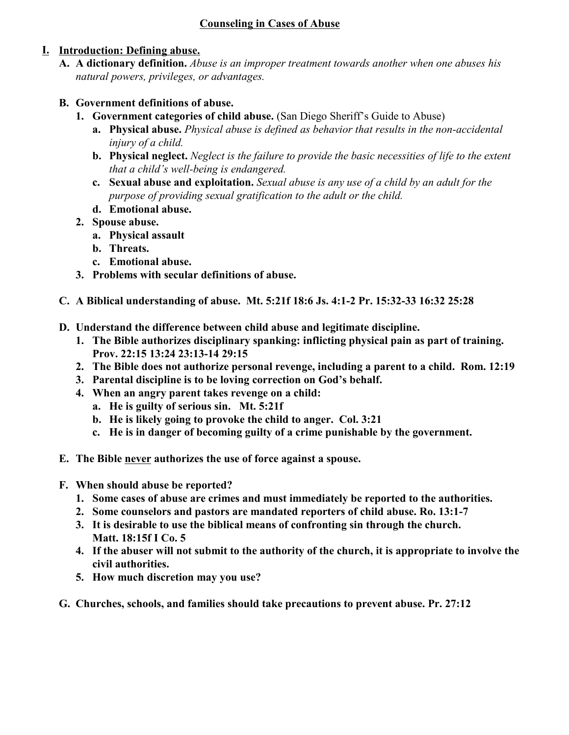## **I. Introduction: Defining abuse.**

**A. A dictionary definition.** *Abuse is an improper treatment towards another when one abuses his natural powers, privileges, or advantages.* 

## **B. Government definitions of abuse.**

- **1. Government categories of child abuse.** (San Diego Sheriff's Guide to Abuse)
	- **a. Physical abuse.** *Physical abuse is defined as behavior that results in the non-accidental injury of a child.*
	- **b. Physical neglect.** *Neglect is the failure to provide the basic necessities of life to the extent that a child's well-being is endangered.*
	- **c. Sexual abuse and exploitation.** *Sexual abuse is any use of a child by an adult for the purpose of providing sexual gratification to the adult or the child.*
	- **d. Emotional abuse.**
- **2. Spouse abuse.**
	- **a. Physical assault**
	- **b. Threats.**
	- **c. Emotional abuse.**
- **3. Problems with secular definitions of abuse.**
- **C. A Biblical understanding of abuse. Mt. 5:21f 18:6 Js. 4:1-2 Pr. 15:32-33 16:32 25:28**
- **D. Understand the difference between child abuse and legitimate discipline.**
	- **1. The Bible authorizes disciplinary spanking: inflicting physical pain as part of training. Prov. 22:15 13:24 23:13-14 29:15**
	- **2. The Bible does not authorize personal revenge, including a parent to a child. Rom. 12:19**
	- **3. Parental discipline is to be loving correction on God's behalf.**
	- **4. When an angry parent takes revenge on a child:**
		- **a. He is guilty of serious sin. Mt. 5:21f**
		- **b. He is likely going to provoke the child to anger. Col. 3:21**
		- **c. He is in danger of becoming guilty of a crime punishable by the government.**
- **E. The Bible never authorizes the use of force against a spouse.**
- **F. When should abuse be reported?**
	- **1. Some cases of abuse are crimes and must immediately be reported to the authorities.**
	- **2. Some counselors and pastors are mandated reporters of child abuse. Ro. 13:1-7**
	- **3. It is desirable to use the biblical means of confronting sin through the church. Matt. 18:15f I Co. 5**
	- **4. If the abuser will not submit to the authority of the church, it is appropriate to involve the civil authorities.**
	- **5. How much discretion may you use?**
- **G. Churches, schools, and families should take precautions to prevent abuse. Pr. 27:12**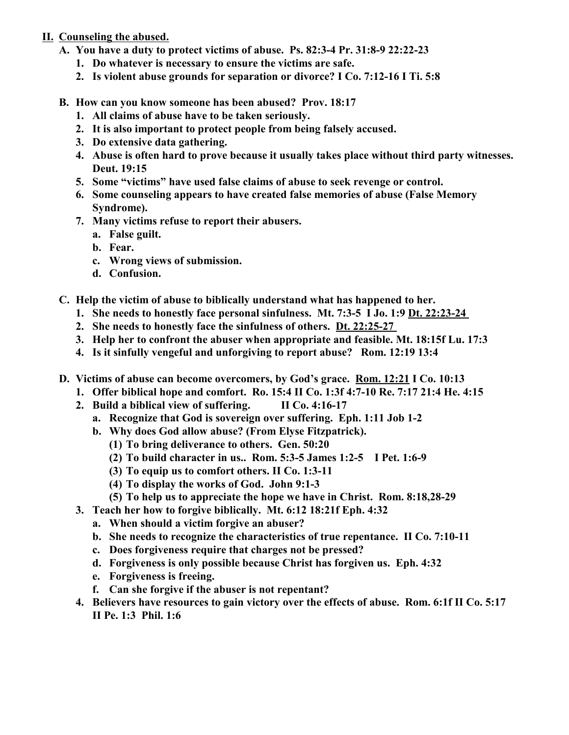## **II. Counseling the abused.**

- **A. You have a duty to protect victims of abuse. Ps. 82:3-4 Pr. 31:8-9 22:22-23**
	- **1. Do whatever is necessary to ensure the victims are safe.**
	- **2. Is violent abuse grounds for separation or divorce? I Co. 7:12-16 I Ti. 5:8**
- **B. How can you know someone has been abused? Prov. 18:17**
	- **1. All claims of abuse have to be taken seriously.**
	- **2. It is also important to protect people from being falsely accused.**
	- **3. Do extensive data gathering.**
	- **4. Abuse is often hard to prove because it usually takes place without third party witnesses. Deut. 19:15**
	- **5. Some "victims" have used false claims of abuse to seek revenge or control.**
	- **6. Some counseling appears to have created false memories of abuse (False Memory Syndrome).**
	- **7. Many victims refuse to report their abusers.**
		- **a. False guilt.**
		- **b. Fear.**
		- **c. Wrong views of submission.**
		- **d. Confusion.**
- **C. Help the victim of abuse to biblically understand what has happened to her.**
	- **1. She needs to honestly face personal sinfulness. Mt. 7:3-5 I Jo. 1:9 Dt. 22:23-24**
	- **2. She needs to honestly face the sinfulness of others. Dt. 22:25-27**
	- **3. Help her to confront the abuser when appropriate and feasible. Mt. 18:15f Lu. 17:3**
	- **4. Is it sinfully vengeful and unforgiving to report abuse? Rom. 12:19 13:4**
- **D. Victims of abuse can become overcomers, by God's grace. Rom. 12:21 I Co. 10:13**
	- **1. Offer biblical hope and comfort. Ro. 15:4 II Co. 1:3f 4:7-10 Re. 7:17 21:4 He. 4:15**
	- **2. Build a biblical view of suffering. II Co. 4:16-17** 
		- **a. Recognize that God is sovereign over suffering. Eph. 1:11 Job 1-2**
		- **b. Why does God allow abuse? (From Elyse Fitzpatrick).**
			- **(1) To bring deliverance to others. Gen. 50:20**
			- **(2) To build character in us.. Rom. 5:3-5 James 1:2-5 I Pet. 1:6-9**
			- **(3) To equip us to comfort others. II Co. 1:3-11**
			- **(4) To display the works of God. John 9:1-3**
			- **(5) To help us to appreciate the hope we have in Christ. Rom. 8:18,28-29**
	- **3. Teach her how to forgive biblically. Mt. 6:12 18:21f Eph. 4:32**
		- **a. When should a victim forgive an abuser?**
		- **b. She needs to recognize the characteristics of true repentance. II Co. 7:10-11**
		- **c. Does forgiveness require that charges not be pressed?**
		- **d. Forgiveness is only possible because Christ has forgiven us. Eph. 4:32**
		- **e. Forgiveness is freeing.**
		- **f. Can she forgive if the abuser is not repentant?**
	- **4. Believers have resources to gain victory over the effects of abuse. Rom. 6:1f II Co. 5:17 II Pe. 1:3 Phil. 1:6**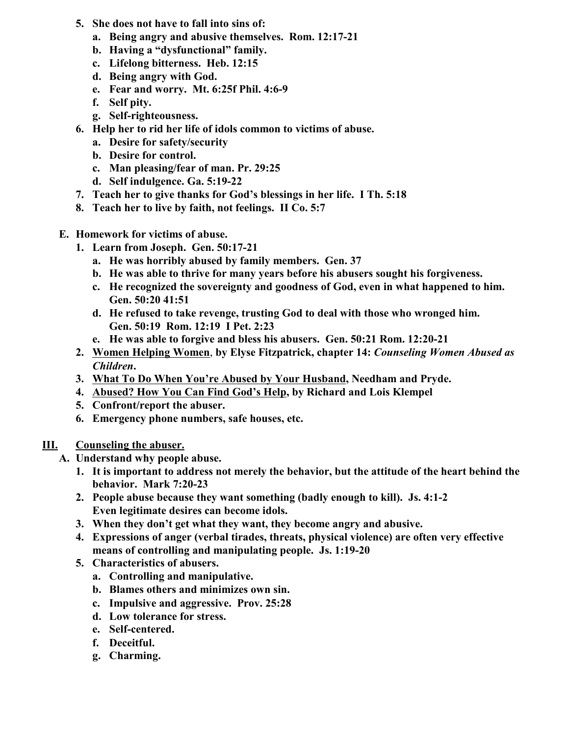- **5. She does not have to fall into sins of:**
	- **a. Being angry and abusive themselves. Rom. 12:17-21**
	- **b. Having a "dysfunctional" family.**
	- **c. Lifelong bitterness. Heb. 12:15**
	- **d. Being angry with God.**
	- **e. Fear and worry. Mt. 6:25f Phil. 4:6-9**
	- **f. Self pity.**
	- **g. Self-righteousness.**
- **6. Help her to rid her life of idols common to victims of abuse.**
	- **a. Desire for safety/security**
	- **b. Desire for control.**
	- **c. Man pleasing/fear of man. Pr. 29:25**
	- **d. Self indulgence. Ga. 5:19-22**
- **7. Teach her to give thanks for God's blessings in her life. I Th. 5:18**
- **8. Teach her to live by faith, not feelings. II Co. 5:7**
- **E. Homework for victims of abuse.**
	- **1. Learn from Joseph. Gen. 50:17-21**
		- **a. He was horribly abused by family members. Gen. 37**
		- **b. He was able to thrive for many years before his abusers sought his forgiveness.**
		- **c. He recognized the sovereignty and goodness of God, even in what happened to him. Gen. 50:20 41:51**
		- **d. He refused to take revenge, trusting God to deal with those who wronged him. Gen. 50:19 Rom. 12:19 I Pet. 2:23**
		- **e. He was able to forgive and bless his abusers. Gen. 50:21 Rom. 12:20-21**
	- **2. Women Helping Women**, **by Elyse Fitzpatrick, chapter 14:** *Counseling Women Abused as Children***.**
	- **3. What To Do When You're Abused by Your Husband, Needham and Pryde.**
	- **4. Abused? How You Can Find God's Help, by Richard and Lois Klempel**
	- **5. Confront/report the abuser.**
	- **6. Emergency phone numbers, safe houses, etc.**
- **III. Counseling the abuser.**
	- **A. Understand why people abuse.**
		- **1. It is important to address not merely the behavior, but the attitude of the heart behind the behavior. Mark 7:20-23**
		- **2. People abuse because they want something (badly enough to kill). Js. 4:1-2 Even legitimate desires can become idols.**
		- **3. When they don't get what they want, they become angry and abusive.**
		- **4. Expressions of anger (verbal tirades, threats, physical violence) are often very effective means of controlling and manipulating people. Js. 1:19-20**
		- **5. Characteristics of abusers.** 
			- **a. Controlling and manipulative.**
			- **b. Blames others and minimizes own sin.**
			- **c. Impulsive and aggressive. Prov. 25:28**
			- **d. Low tolerance for stress.**
			- **e. Self-centered.**
			- **f. Deceitful.**
			- **g. Charming.**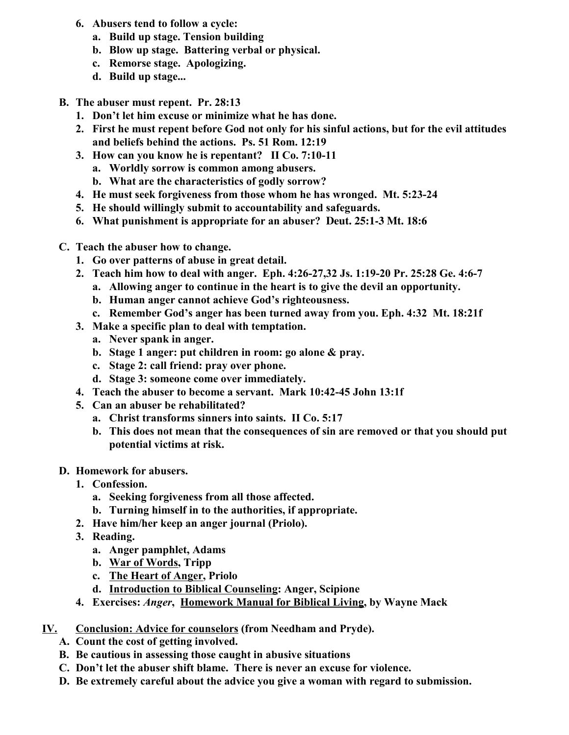- **6. Abusers tend to follow a cycle:**
	- **a. Build up stage. Tension building**
	- **b. Blow up stage. Battering verbal or physical.**
	- **c. Remorse stage. Apologizing.**
	- **d. Build up stage...**
- **B. The abuser must repent. Pr. 28:13**
	- **1. Don't let him excuse or minimize what he has done.**
	- **2. First he must repent before God not only for his sinful actions, but for the evil attitudes and beliefs behind the actions. Ps. 51 Rom. 12:19**
	- **3. How can you know he is repentant? II Co. 7:10-11**
		- **a. Worldly sorrow is common among abusers.**
		- **b. What are the characteristics of godly sorrow?**
	- **4. He must seek forgiveness from those whom he has wronged. Mt. 5:23-24**
	- **5. He should willingly submit to accountability and safeguards.**
	- **6. What punishment is appropriate for an abuser? Deut. 25:1-3 Mt. 18:6**
- **C. Teach the abuser how to change.**
	- **1. Go over patterns of abuse in great detail.**
	- **2. Teach him how to deal with anger. Eph. 4:26-27,32 Js. 1:19-20 Pr. 25:28 Ge. 4:6-7**
		- **a. Allowing anger to continue in the heart is to give the devil an opportunity.**
		- **b. Human anger cannot achieve God's righteousness.**
		- **c. Remember God's anger has been turned away from you. Eph. 4:32 Mt. 18:21f**
	- **3. Make a specific plan to deal with temptation.**
		- **a. Never spank in anger.**
		- **b. Stage 1 anger: put children in room: go alone & pray.**
		- **c. Stage 2: call friend: pray over phone.**
		- **d. Stage 3: someone come over immediately.**
	- **4. Teach the abuser to become a servant. Mark 10:42-45 John 13:1f**
	- **5. Can an abuser be rehabilitated?**
		- **a. Christ transforms sinners into saints. II Co. 5:17**
		- **b. This does not mean that the consequences of sin are removed or that you should put potential victims at risk.**
- **D. Homework for abusers.**
	- **1. Confession.**
		- **a. Seeking forgiveness from all those affected.**
		- **b. Turning himself in to the authorities, if appropriate.**
	- **2. Have him/her keep an anger journal (Priolo).**
	- **3. Reading.**
		- **a. Anger pamphlet, Adams**
		- **b. War of Words, Tripp**
		- **c. The Heart of Anger, Priolo**
		- **d. Introduction to Biblical Counseling: Anger, Scipione**
	- **4. Exercises:** *Anger***, Homework Manual for Biblical Living, by Wayne Mack**
- **IV. Conclusion: Advice for counselors (from Needham and Pryde).**
	- **A. Count the cost of getting involved.**
	- **B. Be cautious in assessing those caught in abusive situations**
	- **C. Don't let the abuser shift blame. There is never an excuse for violence.**
	- **D. Be extremely careful about the advice you give a woman with regard to submission.**